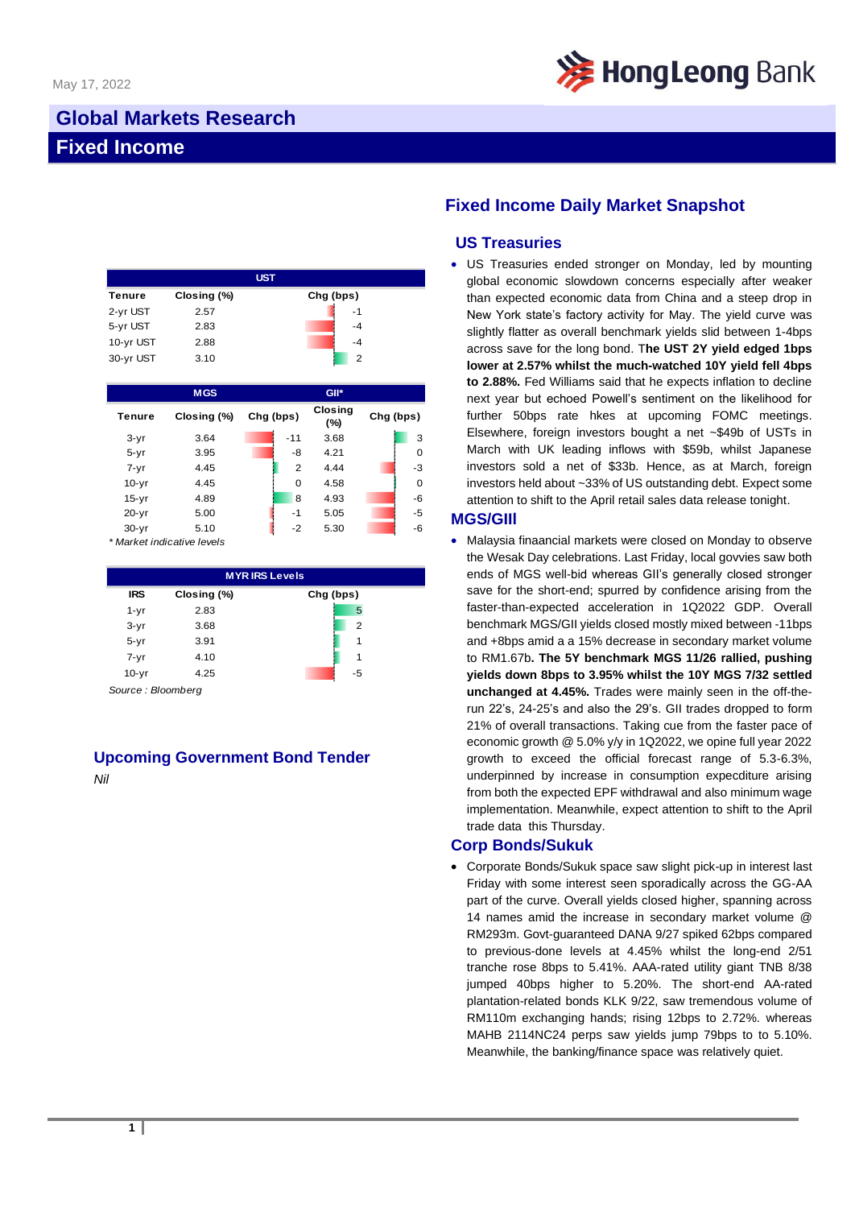

# **Global Markets Research Fixed Income**

|           |             | <b>UST</b> |
|-----------|-------------|------------|
| Tenure    | Closing (%) | Chg (bps)  |
| 2-yr UST  | 2.57        | $-1$       |
| 5-yr UST  | 2.83        | $-4$       |
| 10-yr UST | 2.88        | $-4$       |
| 30-yr UST | 3.10        | 2          |

|           | <b>MGS</b>  |           |                | GII*                  |           |      |
|-----------|-------------|-----------|----------------|-----------------------|-----------|------|
| Tenure    | Closing (%) | Chg (bps) |                | <b>Closing</b><br>(%) | Chg (bps) |      |
| $3-yr$    | 3.64        |           | $-11$          | 3.68                  |           | 3    |
| $5 - yr$  | 3.95        |           | -8             | 4.21                  |           | 0    |
| $7 - yr$  | 4.45        |           | $\overline{2}$ | 4.44                  |           | $-3$ |
| $10-yr$   | 4.45        |           | 0              | 4.58                  |           | 0    |
| $15-yr$   | 4.89        |           | 8              | 4.93                  |           | $-6$ |
| $20 - yr$ | 5.00        |           | $-1$           | 5.05                  |           | $-5$ |
| $30 - yr$ | 5.10        |           | $-2$           | 5.30                  |           | -6   |

*\* Market indicative levels*

| <b>MYRIRS Levels</b> |             |           |  |  |  |
|----------------------|-------------|-----------|--|--|--|
| <b>IRS</b>           | Closing (%) | Chg (bps) |  |  |  |
| $1 - yr$             | 2.83        | 5         |  |  |  |
| $3-yr$               | 3.68        | 2         |  |  |  |
| $5 - yr$             | 3.91        |           |  |  |  |
| $7 - yr$             | 4.10        |           |  |  |  |
| $10-yr$              | 4.25        | -5        |  |  |  |

*Source : Bloomberg*

### **Upcoming Government Bond Tender** *Nil*

## **Fixed Income Daily Market Snapshot**

## **US Treasuries**

• US Treasuries ended stronger on Monday, led by mounting global economic slowdown concerns especially after weaker than expected economic data from China and a steep drop in New York state's factory activity for May. The yield curve was slightly flatter as overall benchmark yields slid between 1-4bps across save for the long bond. T**he UST 2Y yield edged 1bps lower at 2.57% whilst the much-watched 10Y yield fell 4bps to 2.88%.** Fed Williams said that he expects inflation to decline next year but echoed Powell's sentiment on the likelihood for further 50bps rate hkes at upcoming FOMC meetings. Elsewhere, foreign investors bought a net ~\$49b of USTs in March with UK leading inflows with \$59b, whilst Japanese investors sold a net of \$33b. Hence, as at March, foreign investors held about ~33% of US outstanding debt. Expect some attention to shift to the April retail sales data release tonight.

#### **MGS/GIIl**

• Malaysia finaancial markets were closed on Monday to observe the Wesak Day celebrations. Last Friday, local govvies saw both ends of MGS well-bid whereas GII's generally closed stronger save for the short-end; spurred by confidence arising from the faster-than-expected acceleration in 1Q2022 GDP. Overall benchmark MGS/GII yields closed mostly mixed between -11bps and +8bps amid a a 15% decrease in secondary market volume to RM1.67b**. The 5Y benchmark MGS 11/26 rallied, pushing yields down 8bps to 3.95% whilst the 10Y MGS 7/32 settled unchanged at 4.45%.** Trades were mainly seen in the off-therun 22's, 24-25's and also the 29's. GII trades dropped to form 21% of overall transactions. Taking cue from the faster pace of economic growth @ 5.0% y/y in 1Q2022, we opine full year 2022 growth to exceed the official forecast range of 5.3-6.3%, underpinned by increase in consumption expecditure arising from both the expected EPF withdrawal and also minimum wage implementation. Meanwhile, expect attention to shift to the April trade data this Thursday.

#### **Corp Bonds/Sukuk**

• Corporate Bonds/Sukuk space saw slight pick-up in interest last Friday with some interest seen sporadically across the GG-AA part of the curve. Overall yields closed higher, spanning across 14 names amid the increase in secondary market volume @ RM293m. Govt-guaranteed DANA 9/27 spiked 62bps compared to previous-done levels at 4.45% whilst the long-end 2/51 tranche rose 8bps to 5.41%. AAA-rated utility giant TNB 8/38 jumped 40bps higher to 5.20%. The short-end AA-rated plantation-related bonds KLK 9/22, saw tremendous volume of RM110m exchanging hands; rising 12bps to 2.72%. whereas MAHB 2114NC24 perps saw yields jump 79bps to to 5.10%. Meanwhile, the banking/finance space was relatively quiet.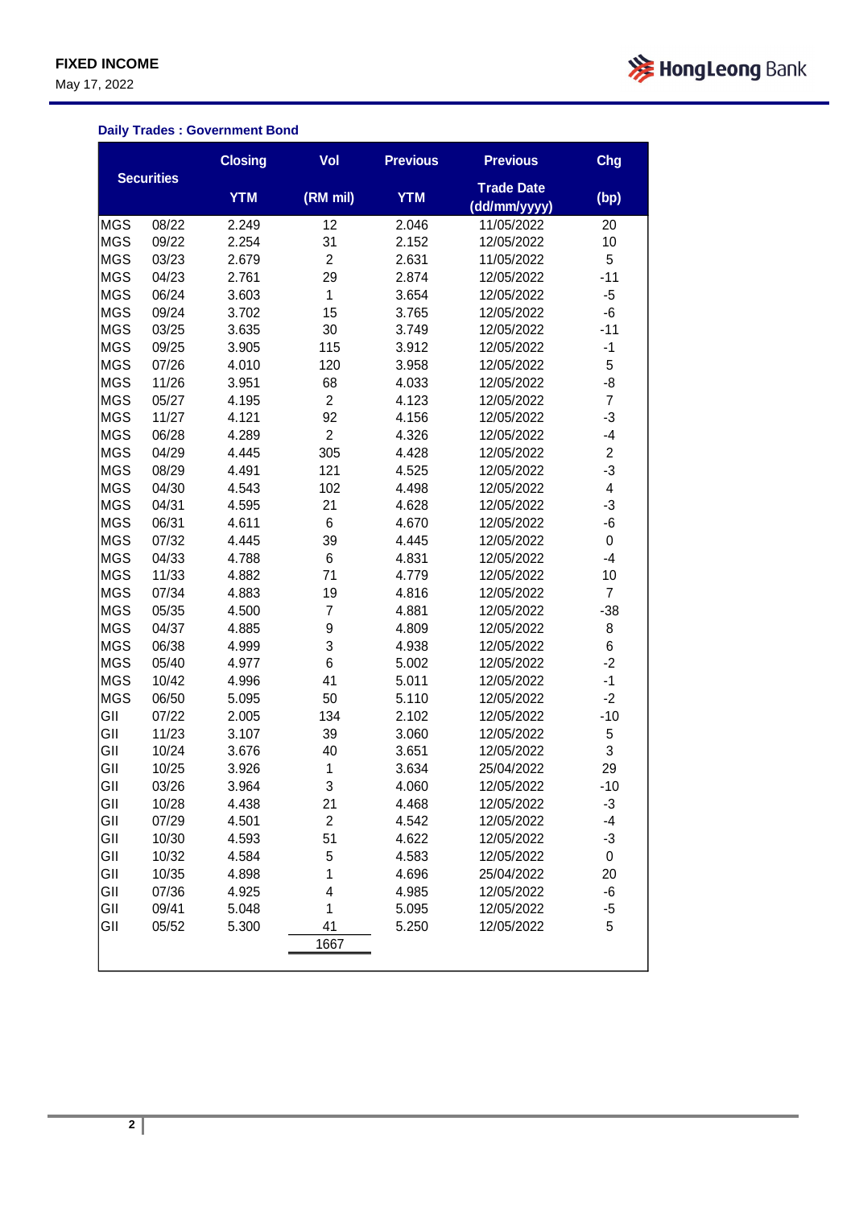May 17, 2022



#### **Daily Trades : Government Bond**

|            |                   | <b>Closing</b> | Vol            | <b>Previous</b> | <b>Previous</b>                   | Chg            |
|------------|-------------------|----------------|----------------|-----------------|-----------------------------------|----------------|
|            | <b>Securities</b> | <b>YTM</b>     | (RM mil)       | <b>YTM</b>      | <b>Trade Date</b><br>(dd/mm/yyyy) | (bp)           |
| <b>MGS</b> | 08/22             | 2.249          | 12             | 2.046           | 11/05/2022                        | 20             |
| <b>MGS</b> | 09/22             | 2.254          | 31             | 2.152           | 12/05/2022                        | 10             |
| <b>MGS</b> | 03/23             | 2.679          | $\overline{2}$ | 2.631           | 11/05/2022                        | 5              |
| <b>MGS</b> | 04/23             | 2.761          | 29             | 2.874           | 12/05/2022                        | $-11$          |
| <b>MGS</b> | 06/24             | 3.603          | $\mathbf 1$    | 3.654           | 12/05/2022                        | -5             |
| <b>MGS</b> | 09/24             | 3.702          | 15             | 3.765           | 12/05/2022                        | -6             |
| <b>MGS</b> | 03/25             | 3.635          | 30             | 3.749           | 12/05/2022                        | $-11$          |
| <b>MGS</b> | 09/25             | 3.905          | 115            | 3.912           | 12/05/2022                        | $-1$           |
| <b>MGS</b> | 07/26             | 4.010          | 120            | 3.958           | 12/05/2022                        | 5              |
| <b>MGS</b> | 11/26             | 3.951          | 68             | 4.033           | 12/05/2022                        | -8             |
| <b>MGS</b> | 05/27             | 4.195          | $\overline{c}$ | 4.123           | 12/05/2022                        | $\overline{7}$ |
| <b>MGS</b> | 11/27             | 4.121          | 92             | 4.156           | 12/05/2022                        | $-3$           |
| <b>MGS</b> | 06/28             | 4.289          | $\overline{c}$ | 4.326           | 12/05/2022                        | $-4$           |
| <b>MGS</b> | 04/29             | 4.445          | 305            | 4.428           | 12/05/2022                        | $\overline{2}$ |
| <b>MGS</b> | 08/29             | 4.491          | 121            | 4.525           | 12/05/2022                        | $-3$           |
| <b>MGS</b> | 04/30             | 4.543          | 102            | 4.498           | 12/05/2022                        | 4              |
| <b>MGS</b> | 04/31             | 4.595          | 21             | 4.628           | 12/05/2022                        | $-3$           |
| <b>MGS</b> | 06/31             | 4.611          | 6              | 4.670           | 12/05/2022                        | -6             |
| <b>MGS</b> | 07/32             | 4.445          | 39             | 4.445           | 12/05/2022                        | 0              |
| <b>MGS</b> | 04/33             | 4.788          | 6              | 4.831           | 12/05/2022                        | $-4$           |
| <b>MGS</b> | 11/33             | 4.882          | 71             | 4.779           | 12/05/2022                        | 10             |
| <b>MGS</b> | 07/34             | 4.883          | 19             | 4.816           | 12/05/2022                        | $\overline{7}$ |
| <b>MGS</b> | 05/35             | 4.500          | 7              | 4.881           | 12/05/2022                        | $-38$          |
| <b>MGS</b> | 04/37             | 4.885          | 9              | 4.809           | 12/05/2022                        | 8              |
| <b>MGS</b> | 06/38             | 4.999          | 3              | 4.938           | 12/05/2022                        | 6              |
| <b>MGS</b> | 05/40             | 4.977          | 6              | 5.002           | 12/05/2022                        | $-2$           |
| <b>MGS</b> | 10/42             | 4.996          | 41             | 5.011           | 12/05/2022                        | $-1$           |
| <b>MGS</b> | 06/50             | 5.095          | 50             | 5.110           | 12/05/2022                        | $-2$           |
| GII        | 07/22             | 2.005          | 134            | 2.102           | 12/05/2022                        | $-10$          |
| GII        | 11/23             | 3.107          | 39             | 3.060           | 12/05/2022                        | 5              |
| GII        | 10/24             | 3.676          | 40             | 3.651           | 12/05/2022                        | 3              |
| GII        | 10/25             | 3.926          | 1              | 3.634           | 25/04/2022                        | 29             |
| GII        | 03/26             | 3.964          | 3              | 4.060           | 12/05/2022                        | $-10$          |
| GII        | 10/28             | 4.438          | 21             | 4.468           | 12/05/2022                        | -3             |
| GII        | 07/29             | 4.501          | $\overline{c}$ | 4.542           | 12/05/2022                        | $-4$           |
| GII        | 10/30             | 4.593          | 51             | 4.622           | 12/05/2022                        | $-3$           |
| GII        | 10/32             | 4.584          | 5              | 4.583           | 12/05/2022                        | 0              |
| GII        | 10/35             | 4.898          | 1              | 4.696           | 25/04/2022                        | 20             |
| GII        | 07/36             | 4.925          | 4              | 4.985           | 12/05/2022                        | -6             |
| GII        | 09/41             | 5.048          | 1              | 5.095           | 12/05/2022                        | $-5$           |
| GII        | 05/52             | 5.300          | 41             | 5.250           | 12/05/2022                        | 5              |
|            |                   |                | 1667           |                 |                                   |                |
|            |                   |                |                |                 |                                   |                |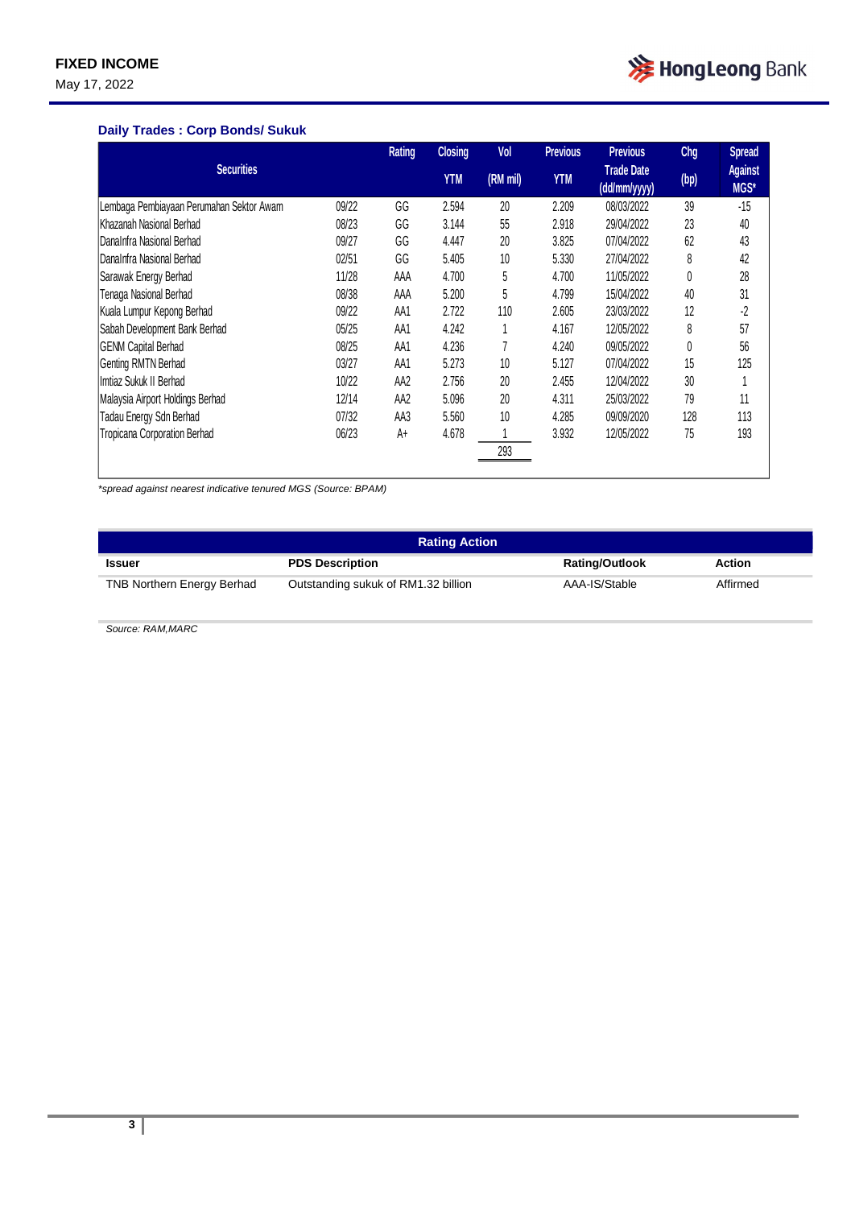May 17, 2022



#### **Daily Trades : Corp Bonds/ Sukuk**

|                                          |       | <b>Rating</b> | <b>Closing</b> | Vol      | <b>Previous</b> | <b>Previous</b>                   | Chg  | <b>Spread</b>          |
|------------------------------------------|-------|---------------|----------------|----------|-----------------|-----------------------------------|------|------------------------|
| <b>Securities</b>                        |       |               | <b>YTM</b>     | (RM mil) | <b>YTM</b>      | <b>Trade Date</b><br>(dd/mm/yyyy) | (bp) | <b>Against</b><br>MGS* |
| Lembaga Pembiayaan Perumahan Sektor Awam | 09/22 | GG            | 2.594          | 20       | 2.209           | 08/03/2022                        | 39   | $-15$                  |
| Khazanah Nasional Berhad                 | 08/23 | GG            | 3.144          | 55       | 2.918           | 29/04/2022                        | 23   | 40                     |
| DanaInfra Nasional Berhad                | 09/27 | GG            | 4.447          | 20       | 3.825           | 07/04/2022                        | 62   | 43                     |
| DanaInfra Nasional Berhad                | 02/51 | GG            | 5.405          | 10       | 5.330           | 27/04/2022                        | 8    | 42                     |
| Sarawak Energy Berhad                    | 11/28 | AAA           | 4.700          | 5        | 4.700           | 11/05/2022                        | 0    | 28                     |
| Tenaga Nasional Berhad                   | 08/38 | AAA           | 5.200          | 5        | 4.799           | 15/04/2022                        | 40   | 31                     |
| Kuala Lumpur Kepong Berhad               | 09/22 | AA1           | 2.722          | 110      | 2.605           | 23/03/2022                        | 12   | -2                     |
| Sabah Development Bank Berhad            | 05/25 | AA1           | 4.242          |          | 4.167           | 12/05/2022                        | 8    | 57                     |
| <b>GENM Capital Berhad</b>               | 08/25 | AA1           | 4.236          |          | 4.240           | 09/05/2022                        | 0    | 56                     |
| Genting RMTN Berhad                      | 03/27 | AA1           | 5.273          | 10       | 5.127           | 07/04/2022                        | 15   | 125                    |
| Imtiaz Sukuk II Berhad                   | 10/22 | AA2           | 2.756          | 20       | 2.455           | 12/04/2022                        | 30   |                        |
| Malaysia Airport Holdings Berhad         | 12/14 | AA2           | 5.096          | 20       | 4.311           | 25/03/2022                        | 79   | 11                     |
| Tadau Energy Sdn Berhad                  | 07/32 | AA3           | 5.560          | 10       | 4.285           | 09/09/2020                        | 128  | 113                    |
| Tropicana Corporation Berhad             | 06/23 | A+            | 4.678          |          | 3.932           | 12/05/2022                        | 75   | 193                    |
|                                          |       |               |                | 293      |                 |                                   |      |                        |

*\*spread against nearest indicative tenured MGS (Source: BPAM)*

| <b>Rating Action</b>              |                                     |                       |          |  |  |  |
|-----------------------------------|-------------------------------------|-----------------------|----------|--|--|--|
| Issuer                            | <b>PDS Description</b>              | <b>Rating/Outlook</b> | Action   |  |  |  |
| <b>TNB Northern Energy Berhad</b> | Outstanding sukuk of RM1.32 billion | AAA-IS/Stable         | Affirmed |  |  |  |

*Source: RAM,MARC*